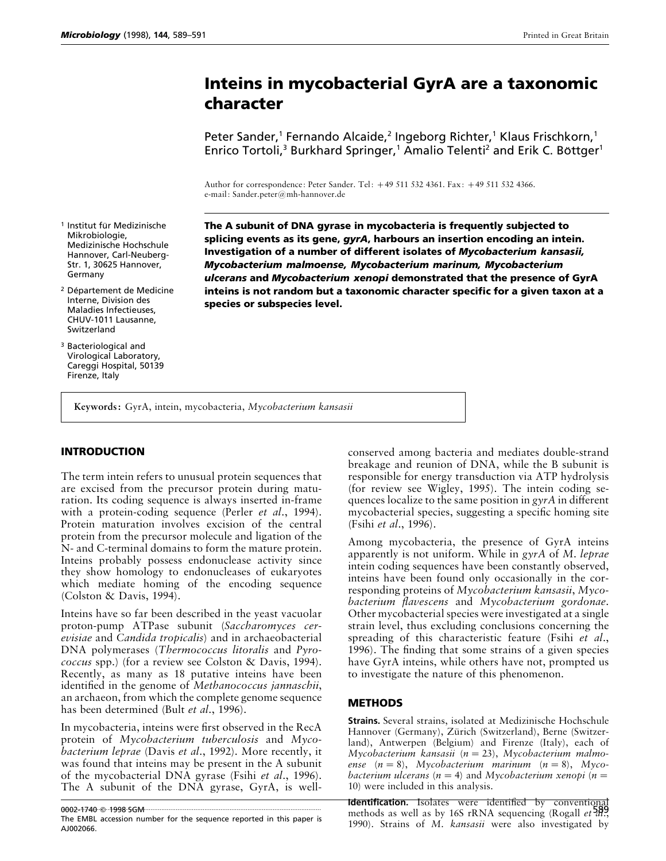# **Inteins in mycobacterial GyrA are a taxonomic character**

Peter Sander,<sup>1</sup> Fernando Alcaide,<sup>2</sup> Ingeborg Richter,<sup>1</sup> Klaus Frischkorn,<sup>1</sup> Enrico Tortoli,<sup>3</sup> Burkhard Springer,<sup>1</sup> Amalio Telenti<sup>2</sup> and Erik C. Böttger<sup>1</sup>

Author for correspondence: Peter Sander. Tel: 49 511 532 4361. Fax: 49 511 532 4366. e-mail: Sander.peter@mh-hannover.de

- <sup>1</sup> Institut für Medizinische Mikrobiologie, Medizinische Hochschule Hannover, Carl-Neuberg-Str. 1, 30625 Hannover, Germany
- <sup>2</sup> Département de Medicine Interne, Division des Maladies Infectieuses, CHUV-1011 Lausanne, Switzerland
- <sup>3</sup> Bacteriological and Virological Laboratory, Careggi Hospital, 50139 Firenze, Italy

**The A subunit of DNA gyrase in mycobacteria is frequently subjected to splicing events as its gene,** *gyrA***, harbours an insertion encoding an intein. Investigation of a number of different isolates of** *Mycobacterium kansasii, Mycobacterium malmoense, Mycobacterium marinum, Mycobacterium ulcerans* **and** *Mycobacterium xenopi* **demonstrated that the presence of GyrA inteins is not random but a taxonomic character specific for a given taxon at a species or subspecies level.**

**Keywords:** GyrA, intein, mycobacteria, *Mycobacterium kansasii*

# **INTRODUCTION**

The term intein refers to unusual protein sequences that are excised from the precursor protein during maturation. Its coding sequence is always inserted in-frame with a protein-coding sequence (Perler *et al*., 1994). Protein maturation involves excision of the central protein from the precursor molecule and ligation of the N- and C-terminal domains to form the mature protein. Inteins probably possess endonuclease activity since they show homology to endonucleases of eukaryotes which mediate homing of the encoding sequence (Colston & Davis, 1994).

Inteins have so far been described in the yeast vacuolar proton-pump ATPase subunit (*Saccharomyces cerevisiae* and *Candida tropicalis*) and in archaeobacterial DNA polymerases (*Thermococcus litoralis* and *Pyrococcus* spp.) (for a review see Colston & Davis, 1994). Recently, as many as 18 putative inteins have been identified in the genome of *Methanococcus jannaschii*, an archaeon, from which the complete genome sequence has been determined (Bult *et al*., 1996).

In mycobacteria, inteins were first observed in the RecA protein of *Mycobacterium tuberculosis* and *Mycobacterium leprae* (Davis *et al*., 1992). More recently, it was found that inteins may be present in the A subunit of the mycobacterial DNA gyrase (Fsihi *et al*., 1996). The A subunit of the DNA gyrase, GyrA, is well-

0002-1740 ······· 1998 · SGM

conserved among bacteria and mediates double-strand breakage and reunion of DNA, while the B subunit is responsible for energy transduction via ATP hydrolysis (for review see Wigley, 1995). The intein coding sequences localize to the same position in *gyrA* in different mycobacterial species, suggesting a specific homing site (Fsihi *et al*., 1996).

Among mycobacteria, the presence of GyrA inteins apparently is not uniform. While in *gyrA* of *M*. *leprae* intein coding sequences have been constantly observed, inteins have been found only occasionally in the corresponding proteins of *Mycobacterium kansasii*, *Mycobacterium flavescens* and *Mycobacterium gordonae*. Other mycobacterial species were investigated at a single strain level, thus excluding conclusions concerning the spreading of this characteristic feature (Fsihi *et al*., 1996). The finding that some strains of a given species have GyrA inteins, while others have not, prompted us to investigate the nature of this phenomenon.

## **METHODS**

**Strains.** Several strains, isolated at Medizinische Hochschule Hannover (Germany), Zürich (Switzerland), Berne (Switzerland), Antwerpen (Belgium) and Firenze (Italy), each of *Mycobacterium kansasii* (*n*¯23), *Mycobacterium malmoense* (*n*¯8), *Mycobacterium marinum* (*n*¯8), *Mycobacterium ulcerans* ( $n = 4$ ) and *Mycobacterium xenopi* ( $n =$ 10) were included in this analysis.

Identification. Isolates were identified by convention 0002-1740 \$1998 SGM SGM SULLET AND TREATURE TO ALL THE REFERENCE TO A 1998 SGM SULLET ALL TO ALL TO ALL TO ALL TO ALL TO ALL TO ALL TO ALL TO ALL TO ALL TO ALL TO ALL TO ALL TO ALL TO ALL TO ALL TO ALL TO ALL TO ALL TO ALL 1990). Strains of *M*. *kansasii* were also investigated by

The EMBL accession number for the sequence reported in this paper is AJ002066.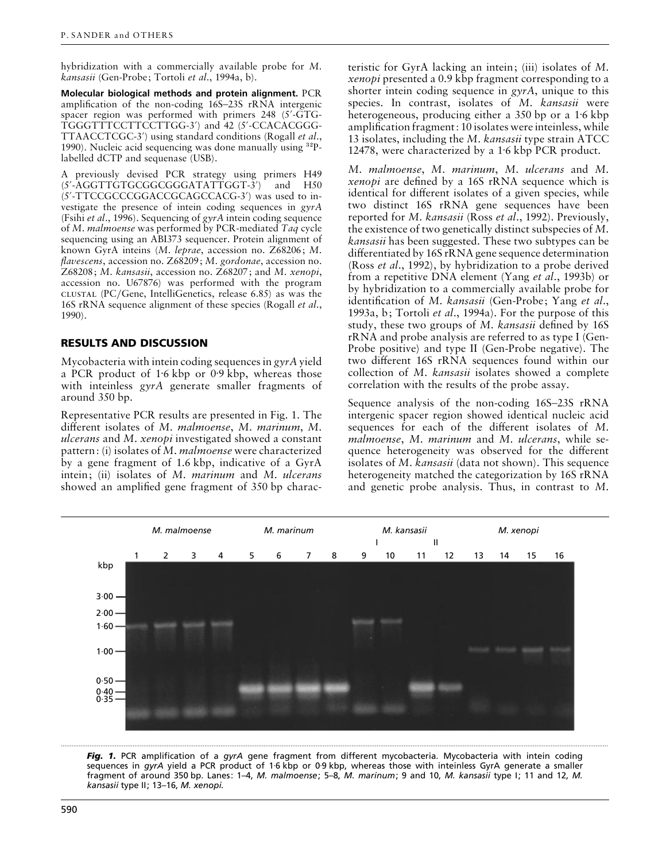hybridization with a commercially available probe for *M*. *kansasii* (Gen-Probe; Tortoli *et al*., 1994a, b).

**Molecular biological methods and protein alignment.** PCR amplification of the non-coding 16S–23S rRNA intergenic spacer region was performed with primers 248 (5'-GTG-TGGGTTTCCTTCCTTGG-3') and 42 (5'-CCACACGGG-TTAACCTCGC-3«) using standard conditions (Rogall *et al*., 1990). Nucleic acid sequencing was done manually using  ${}^{32}P$ labelled dCTP and sequenase (USB).

A previously devised PCR strategy using primers H49 (5'-AGGTTGTGCGGCGGGATATTGGT-3') and H50 (5'-TTCCGCCCGGACCGCAGCCACG-3') was used to investigate the presence of intein coding sequences in *gyrA* (Fsihi *et al*., 1996). Sequencing of *gyrA* intein coding sequence of *M*. *malmoense* was performed by PCR-mediated *Taq* cycle sequencing using an ABI373 sequencer. Protein alignment of known GyrA inteins (*M*. *leprae*, accession no. Z68206; *M*. *flavescens*, accession no. Z68209; *M*. *gordonae*, accession no. Z68208; *M*. *kansasii*, accession no. Z68207; and *M*. *xenopi*, accession no. U67876) was performed with the program (PC}Gene, IntelliGenetics, release 6.85) as was the 16S rRNA sequence alignment of these species (Rogall *et al*., 1990).

#### **RESULTS AND DISCUSSION**

Mycobacteria with intein coding sequences in *gyrA* yield a PCR product of  $1.6$  kbp or  $0.9$  kbp, whereas those with inteinless *gyrA* generate smaller fragments of around 350 bp.

Representative PCR results are presented in Fig. 1. The different isolates of *M*. *malmoense*, *M*. *marinum*, *M*. *ulcerans* and *M*. *xenopi* investigated showed a constant pattern: (i) isolates of *M*. *malmoense* were characterized by a gene fragment of 1.6 kbp, indicative of a GyrA intein; (ii) isolates of *M*. *marinum* and *M*. *ulcerans* showed an amplified gene fragment of 350 bp charac-

teristic for GyrA lacking an intein; (iii) isolates of *M*. *xenopi* presented a 0.9 kbp fragment corresponding to a shorter intein coding sequence in *gyrA*, unique to this species. In contrast, isolates of *M*. *kansasii* were heterogeneous, producing either a 350 bp or a 1.6 kbp amplification fragment: 10 isolates were inteinless, while 13 isolates, including the *M*. *kansasii* type strain ATCC 12478, were characterized by a 1.6 kbp PCR product.

*M*. *malmoense*, *M*. *marinum*, *M*. *ulcerans* and *M*. *xenopi* are defined by a 16S rRNA sequence which is identical for different isolates of a given species, while two distinct 16S rRNA gene sequences have been reported for *M*. *kansasii* (Ross *et al*., 1992). Previously, the existence of two genetically distinct subspecies of *M*. *kansasii* has been suggested. These two subtypes can be differentiated by 16S rRNA gene sequence determination (Ross *et al*., 1992), by hybridization to a probe derived from a repetitive DNA element (Yang *et al*., 1993b) or by hybridization to a commercially available probe for identification of *M*. *kansasii* (Gen-Probe; Yang *et al*., 1993a, b; Tortoli *et al*., 1994a). For the purpose of this study, these two groups of *M*. *kansasii* defined by 16S rRNA and probe analysis are referred to as type I (Gen-Probe positive) and type II (Gen-Probe negative). The two different 16S rRNA sequences found within our collection of *M*. *kansasii* isolates showed a complete correlation with the results of the probe assay.

Sequence analysis of the non-coding 16S–23S rRNA intergenic spacer region showed identical nucleic acid sequences for each of the different isolates of *M*. *malmoense*, *M*. *marinum* and *M*. *ulcerans*, while sequence heterogeneity was observed for the different isolates of *M*. *kansasii* (data not shown). This sequence heterogeneity matched the categorization by 16S rRNA and genetic probe analysis. Thus, in contrast to *M*.



*Fig. 1.* PCR amplification of a *gyrA* gene fragment from different mycobacteria. Mycobacteria with intein coding sequences in gyrA yield a PCR product of 1<sup>-6</sup> kbp or 0<sup>-9</sup> kbp, whereas those with inteinless GyrA generate a smaller fragment of around 350 bp. Lanes: 1–4, *M. malmoense*; 5–8, *M. marinum*; 9 and 10, *M. kansasii* type I; 11 and 12, *M. kansasii* type II; 13–16, *M. xenopi.*